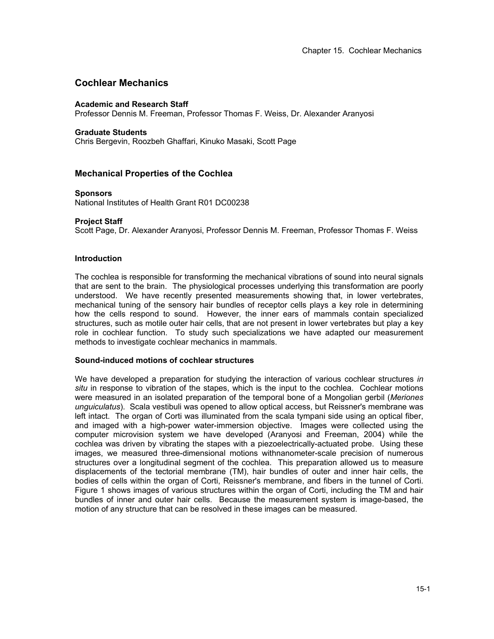# **Cochlear Mechanics**

## **Academic and Research Staff**

Professor Dennis M. Freeman, Professor Thomas F. Weiss, Dr. Alexander Aranyosi

### **Graduate Students**

Chris Bergevin, Roozbeh Ghaffari, Kinuko Masaki, Scott Page

# **Mechanical Properties of the Cochlea**

## **Sponsors**

National Institutes of Health Grant R01 DC00238

# **Project Staff**

Scott Page, Dr. Alexander Aranyosi, Professor Dennis M. Freeman, Professor Thomas F. Weiss

## **Introduction**

The cochlea is responsible for transforming the mechanical vibrations of sound into neural signals that are sent to the brain. The physiological processes underlying this transformation are poorly understood. We have recently presented measurements showing that, in lower vertebrates, mechanical tuning of the sensory hair bundles of receptor cells plays a key role in determining how the cells respond to sound. However, the inner ears of mammals contain specialized structures, such as motile outer hair cells, that are not present in lower vertebrates but play a key role in cochlear function. To study such specializations we have adapted our measurement methods to investigate cochlear mechanics in mammals.

### **Sound-induced motions of cochlear structures**

We have developed a preparation for studying the interaction of various cochlear structures *in situ* in response to vibration of the stapes, which is the input to the cochlea. Cochlear motions were measured in an isolated preparation of the temporal bone of a Mongolian gerbil (*Meriones unguiculatus*). Scala vestibuli was opened to allow optical access, but Reissner's membrane was left intact. The organ of Corti was illuminated from the scala tympani side using an optical fiber, and imaged with a high-power water-immersion objective. Images were collected using the computer microvision system we have developed (Aranyosi and Freeman, 2004) while the cochlea was driven by vibrating the stapes with a piezoelectrically-actuated probe. Using these images, we measured three-dimensional motions withnanometer-scale precision of numerous structures over a longitudinal segment of the cochlea. This preparation allowed us to measure displacements of the tectorial membrane (TM), hair bundles of outer and inner hair cells, the bodies of cells within the organ of Corti, Reissner's membrane, and fibers in the tunnel of Corti. Figure 1 shows images of various structures within the organ of Corti, including the TM and hair bundles of inner and outer hair cells. Because the measurement system is image-based, the motion of any structure that can be resolved in these images can be measured.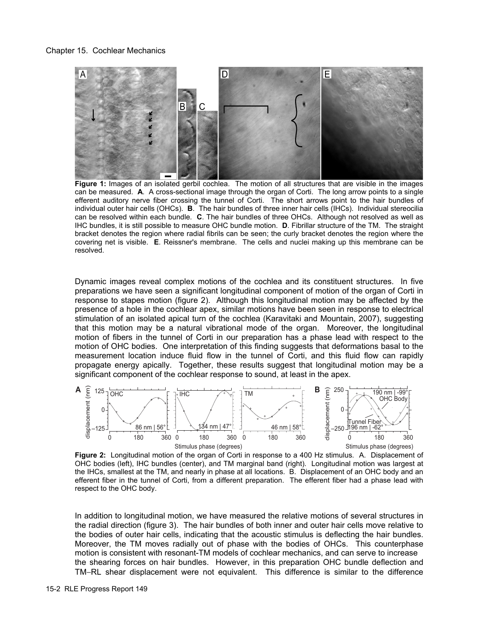### Chapter 15. Cochlear Mechanics



Figure 1: Images of an isolated gerbil cochlea. The motion of all structures that are visible in the images can be measured. **A**. A cross-sectional image through the organ of Corti. The long arrow points to a single efferent auditory nerve fiber crossing the tunnel of Corti. The short arrows point to the hair bundles of individual outer hair cells (OHCs). **B**. The hair bundles of three inner hair cells (IHCs). Individual stereocilia can be resolved within each bundle. **C**. The hair bundles of three OHCs. Although not resolved as well as IHC bundles, it is still possible to measure OHC bundle motion. **D**. Fibrillar structure of the TM. The straight bracket denotes the region where radial fibrils can be seen; the curly bracket denotes the region where the covering net is visible. **E**. Reissner's membrane. The cells and nuclei making up this membrane can be resolved.

Dynamic images reveal complex motions of the cochlea and its constituent structures. In five preparations we have seen a significant longitudinal component of motion of the organ of Corti in response to stapes motion (figure 2). Although this longitudinal motion may be affected by the presence of a hole in the cochlear apex, similar motions have been seen in response to electrical stimulation of an isolated apical turn of the cochlea (Karavitaki and Mountain, 2007), suggesting that this motion may be a natural vibrational mode of the organ. Moreover, the longitudinal motion of fibers in the tunnel of Corti in our preparation has a phase lead with respect to the motion of OHC bodies. One interpretation of this finding suggests that deformations basal to the measurement location induce fluid flow in the tunnel of Corti, and this fluid flow can rapidly propagate energy apically. Together, these results suggest that longitudinal motion may be a significant component of the cochlear response to sound, at least in the apex.



**Figure 2:** Longitudinal motion of the organ of Corti in response to a 400 Hz stimulus.A. Displacement of OHC bodies (left), IHC bundles (center), and TM marginal band (right). Longitudinal motion was largest at the IHCs, smallest at the TM, and nearly in phase at all locations. B. Displacement of an OHC body and an efferent fiber in the tunnel of Corti, from a different preparation. The efferent fiber had a phase lead with respect to the OHC body.

In addition to longitudinal motion, we have measured the relative motions of several structures in the radial direction (figure 3). The hair bundles of both inner and outer hair cells move relative to the bodies of outer hair cells, indicating that the acoustic stimulus is deflecting the hair bundles. Moreover, the TM moves radially out of phase with the bodies of OHCs. This counterphase motion is consistent with resonant-TM models of cochlear mechanics, and can serve to increase the shearing forces on hair bundles. However, in this preparation OHC bundle deflection and TM−RL shear displacement were not equivalent. This difference is similar to the difference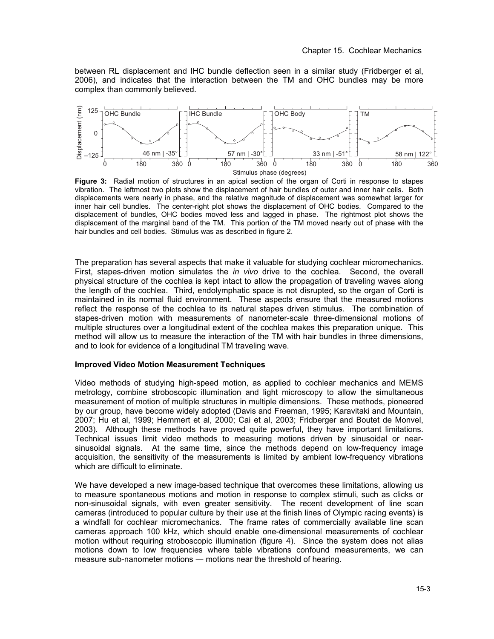between RL displacement and IHC bundle deflection seen in a similar study (Fridberger et al, 2006), and indicates that the interaction between the TM and OHC bundles may be more complex than commonly believed.



**Figure 3:** Radial motion of structures in an apical section of the organ of Corti in response to stapes vibration. The leftmost two plots show the displacement of hair bundles of outer and inner hair cells. Both displacements were nearly in phase, and the relative magnitude of displacement was somewhat larger for inner hair cell bundles. The center-right plot shows the displacement of OHC bodies. Compared to the displacement of bundles, OHC bodies moved less and lagged in phase. The rightmost plot shows the displacement of the marginal band of the TM. This portion of the TM moved nearly out of phase with the hair bundles and cell bodies. Stimulus was as described in figure 2.

The preparation has several aspects that make it valuable for studying cochlear micromechanics. First, stapes-driven motion simulates the *in vivo* drive to the cochlea. Second, the overall physical structure of the cochlea is kept intact to allow the propagation of traveling waves along the length of the cochlea. Third, endolymphatic space is not disrupted, so the organ of Corti is maintained in its normal fluid environment. These aspects ensure that the measured motions reflect the response of the cochlea to its natural stapes driven stimulus. The combination of stapes-driven motion with measurements of nanometer-scale three-dimensional motions of multiple structures over a longitudinal extent of the cochlea makes this preparation unique. This method will allow us to measure the interaction of the TM with hair bundles in three dimensions, and to look for evidence of a longitudinal TM traveling wave.

### **Improved Video Motion Measurement Techniques**

Video methods of studying high-speed motion, as applied to cochlear mechanics and MEMS metrology, combine stroboscopic illumination and light microscopy to allow the simultaneous measurement of motion of multiple structures in multiple dimensions. These methods, pioneered by our group, have become widely adopted (Davis and Freeman, 1995; Karavitaki and Mountain, 2007; Hu et al, 1999; Hemmert et al, 2000; Cai et al, 2003; Fridberger and Boutet de Monvel, 2003). Although these methods have proved quite powerful, they have important limitations. Technical issues limit video methods to measuring motions driven by sinusoidal or nearsinusoidal signals. At the same time, since the methods depend on low-frequency image acquisition, the sensitivity of the measurements is limited by ambient low-frequency vibrations which are difficult to eliminate.

We have developed a new image-based technique that overcomes these limitations, allowing us to measure spontaneous motions and motion in response to complex stimuli, such as clicks or non-sinusoidal signals, with even greater sensitivity. The recent development of line scan cameras (introduced to popular culture by their use at the finish lines of Olympic racing events) is a windfall for cochlear micromechanics. The frame rates of commercially available line scan cameras approach 100 kHz, which should enable one-dimensional measurements of cochlear motion without requiring stroboscopic illumination (figure 4). Since the system does not alias motions down to low frequencies where table vibrations confound measurements, we can measure sub-nanometer motions — motions near the threshold of hearing.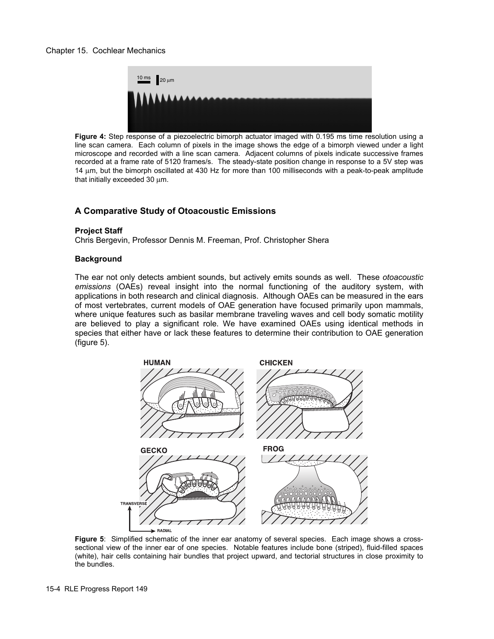

**Figure 4:** Step response of a piezoelectric bimorph actuator imaged with 0.195 ms time resolution using a line scan camera. Each column of pixels in the image shows the edge of a bimorph viewed under a light microscope and recorded with a line scan camera. Adjacent columns of pixels indicate successive frames recorded at a frame rate of 5120 frames/s. The steady-state position change in response to a 5V step was 14 μm, but the bimorph oscillated at 430 Hz for more than 100 milliseconds with a peak-to-peak amplitude that initially exceeded 30 μm.

# **A Comparative Study of Otoacoustic Emissions**

## **Project Staff**

Chris Bergevin, Professor Dennis M. Freeman, Prof. Christopher Shera

## **Background**

The ear not only detects ambient sounds, but actively emits sounds as well. These *otoacoustic emissions* (OAEs) reveal insight into the normal functioning of the auditory system, with applications in both research and clinical diagnosis. Although OAEs can be measured in the ears of most vertebrates, current models of OAE generation have focused primarily upon mammals, where unique features such as basilar membrane traveling waves and cell body somatic motility are believed to play a significant role. We have examined OAEs using identical methods in species that either have or lack these features to determine their contribution to OAE generation (figure 5).



**Figure 5**: Simplified schematic of the inner ear anatomy of several species. Each image shows a crosssectional view of the inner ear of one species. Notable features include bone (striped), fluid-filled spaces (white), hair cells containing hair bundles that project upward, and tectorial structures in close proximity to the bundles.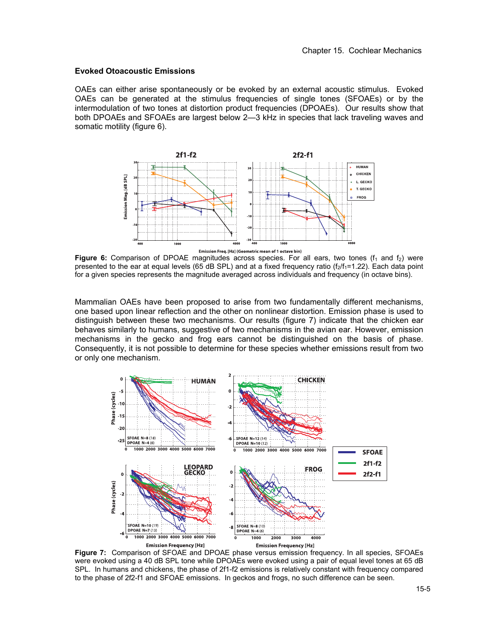## **Evoked Otoacoustic Emissions**

OAEs can either arise spontaneously or be evoked by an external acoustic stimulus. Evoked OAEs can be generated at the stimulus frequencies of single tones (SFOAEs) or by the intermodulation of two tones at distortion product frequencies (DPOAEs). Our results show that both DPOAEs and SFOAEs are largest below 2—3 kHz in species that lack traveling waves and somatic motility (figure 6).



Figure 6: Comparison of DPOAE magnitudes across species. For all ears, two tones (f<sub>1</sub> and f<sub>2</sub>) were presented to the ear at equal levels (65 dB SPL) and at a fixed frequency ratio  $(f_2/f_1=1.22)$ . Each data point for a given species represents the magnitude averaged across individuals and frequency (in octave bins).

Mammalian OAEs have been proposed to arise from two fundamentally different mechanisms, one based upon linear reflection and the other on nonlinear distortion. Emission phase is used to distinguish between these two mechanisms. Our results (figure 7) indicate that the chicken ear behaves similarly to humans, suggestive of two mechanisms in the avian ear. However, emission mechanisms in the gecko and frog ears cannot be distinguished on the basis of phase. Consequently, it is not possible to determine for these species whether emissions result from two or only one mechanism.



**Figure 7:** Comparison of SFOAE and DPOAE phase versus emission frequency. In all species, SFOAEs were evoked using a 40 dB SPL tone while DPOAEs were evoked using a pair of equal level tones at 65 dB SPL. In humans and chickens, the phase of 2f1-f2 emissions is relatively constant with frequency compared to the phase of 2f2-f1 and SFOAE emissions. In geckos and frogs, no such difference can be seen.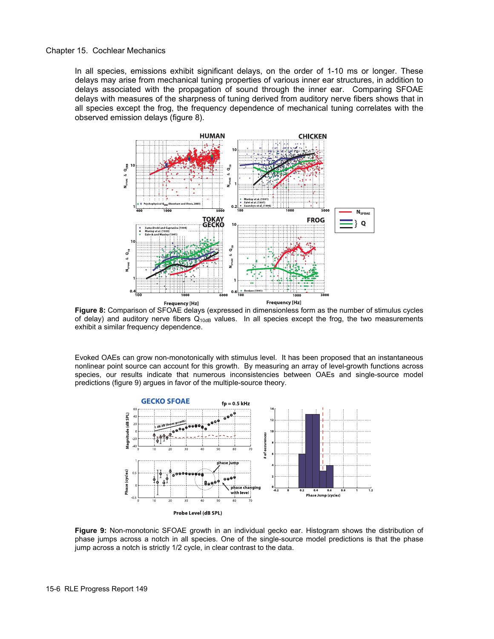Chapter 15. Cochlear Mechanics

In all species, emissions exhibit significant delays, on the order of 1-10 ms or longer. These delays may arise from mechanical tuning properties of various inner ear structures, in addition to delays associated with the propagation of sound through the inner ear. Comparing SFOAE delays with measures of the sharpness of tuning derived from auditory nerve fibers shows that in all species except the frog, the frequency dependence of mechanical tuning correlates with the observed emission delays (figure 8).



**Figure 8:** Comparison of SFOAE delays (expressed in dimensionless form as the number of stimulus cycles of delay) and auditory nerve fibers  $Q_{10dB}$  values. In all species except the frog, the two measurements exhibit a similar frequency dependence.

Evoked OAEs can grow non-monotonically with stimulus level. It has been proposed that an instantaneous nonlinear point source can account for this growth. By measuring an array of level-growth functions across species, our results indicate that numerous inconsistencies between OAEs and single-source model predictions (figure 9) argues in favor of the multiple-source theory.



**Figure 9:** Non-monotonic SFOAE growth in an individual gecko ear. Histogram shows the distribution of phase jumps across a notch in all species. One of the single-source model predictions is that the phase jump across a notch is strictly 1/2 cycle, in clear contrast to the data.